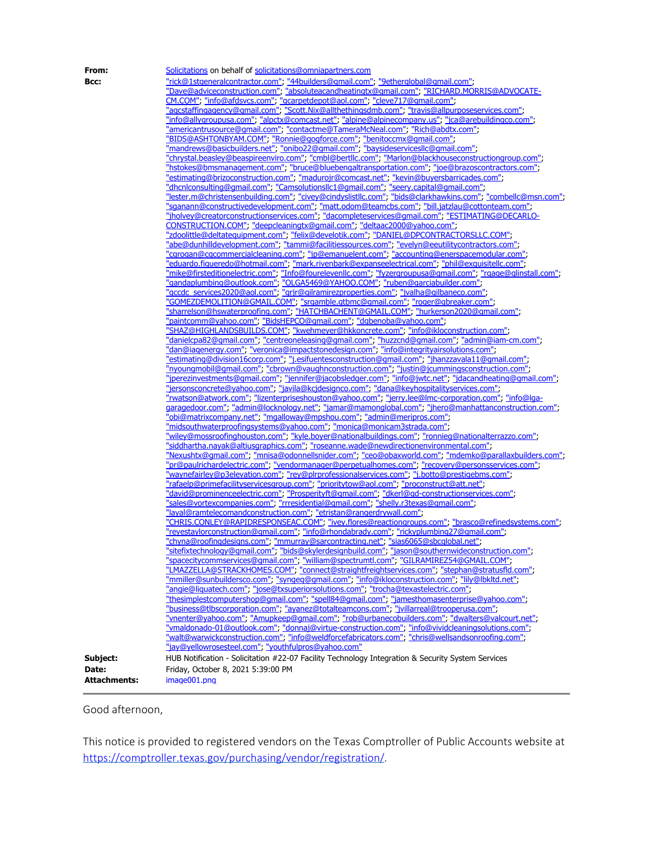## **From:** [Solicitations](mailto:/o=ExchangeLabs/ou=Exchange Administrative Group (FYDIBOHF23SPDLT)/cn=Recipients/cn=71f909e4a81d4958957c0e0bdbc94a90-Solicitatio) on behalf of [solicitations@omniapartners.com](mailto:Solicitations@omniapartners.com) **Bcc:** ["rick@1stgeneralcontractor.com"](mailto:rick@1stgeneralcontractor.com); ["44builders@gmail.com"](mailto:44builders@gmail.com); ["9etherglobal@gmail.com";](mailto:9etherglobal@gmail.com) ["Dave@adviceconstruction.com";](mailto:Dave@adviceconstruction.com) ["absoluteacandheatingtx@gmail.com"](mailto:absoluteacandheatingtx@gmail.com); ["RICHARD.MORRIS@ADVOCATE-](mailto:RICHARD.MORRIS@ADVOCATE-CM.COM)[CM.COM"](mailto:RICHARD.MORRIS@ADVOCATE-CM.COM); ["info@afdsvcs.com"](mailto:info@afdsvcs.com); ["gcarpetdepot@aol.com"](mailto:gcarpetdepot@aol.com); ["cleve717@gmail.com";](mailto:cleve717@gmail.com) ["agcstaffingagency@gmail.com"](mailto:agcstaffingagency@gmail.com); ["Scott.Nix@allthethingsdmb.com"](mailto:Scott.Nix@allthethingsdmb.com); ["travis@allpurposeservices.com"](mailto:travis@allpurposeservices.com); ["info@allygroupusa.com"](mailto:info@allygroupusa.com); ["alpctx@comcast.net"](mailto:alpctx@comcast.net); ["alpine@alpinecompany.us"](mailto:alpine@alpinecompany.us); ["jca@arebuildingco.com";](mailto:jca@arebuildingco.com) ["americantrusource@gmail.com"](mailto:americantrusource@gmail.com); ["contactme@TameraMcNeal.com"](mailto:contactme@TameraMcNeal.com); ["Rich@abdtx.com"](mailto:Rich@abdtx.com); ["BIDS@ASHTONBYAM.COM";](mailto:BIDS@ASHTONBYAM.COM) ["Ronnie@gogforce.com"](mailto:Ronnie@gogforce.com); ["benitoccmx@gmail.com"](mailto:benitoccmx@gmail.com); ["mandrews@basicbuilders.net"](mailto:mandrews@basicbuilders.net); ["onibo22@gmail.com"](mailto:onibo22@gmail.com); ["baysideservicesllc@gmail.com"](mailto:baysideservicesllc@gmail.com); ["chrystal.beasley@beaspireenviro.com";](mailto:chrystal.beasley@beaspireenviro.com) ["cmbl@bertllc.com"](mailto:cmbl@bertllc.com); ["Marlon@blackhouseconstructiongroup.com"](mailto:Marlon@blackhouseconstructiongroup.com); ["hstokes@bmsmanagement.com"](mailto:hstokes@bmsmanagement.com); ["bruce@bluebengaltransportation.com"](mailto:bruce@bluebengaltransportation.com); ["joe@brazoscontractors.com";](mailto:joe@brazoscontractors.com) ["estimating@brizoconstruction.com"](mailto:estimating@brizoconstruction.com); ["madurojr@comcast.net";](mailto:madurojr@comcast.net) ["kevin@buyersbarricades.com"](mailto:kevin@buyersbarricades.com); ["dhcnlconsulting@gmail.com";](mailto:dhcnlconsulting@gmail.com) ["Camsolutionsllc1@gmail.com"](mailto:Camsolutionsllc1@gmail.com); ["seery.capital@gmail.com"](mailto:seery.capital@gmail.com); ["lester.m@christensenbuilding.com"](mailto:lester.m@christensenbuilding.com); ["civey@cindyslistllc.com"](mailto:civey@cindyslistllc.com); ["bids@clarkhawkins.com"](mailto:bids@clarkhawkins.com); ["combellc@msn.com"](mailto:combellc@msn.com); ["sganann@constructivedevelopment.com"](mailto:sganann@constructivedevelopment.com); ["matt.odom@teamcbs.com"](mailto:matt.odom@teamcbs.com); ["bill.jatzlau@cottonteam.com"](mailto:bill.jatzlau@cottonteam.com); ["jholvey@creatorconstructionservices.com"](mailto:jholvey@creatorconstructionservices.com); ["dacompleteservices@gmail.com"](mailto:dacompleteservices@gmail.com); ["ESTIMATING@DECARLO-](mailto:ESTIMATING@DECARLO-CONSTRUCTION.COM)[CONSTRUCTION.COM";](mailto:ESTIMATING@DECARLO-CONSTRUCTION.COM) ["deepcleaningtx@gmail.com"](mailto:deepcleaningtx@gmail.com); ["deltaac2000@yahoo.com"](mailto:deltaac2000@yahoo.com); ["zdoolittle@deltatequipment.com";](mailto:zdoolittle@deltatequipment.com) ["felix@develotik.com"](mailto:felix@develotik.com); ["DANIEL@DPCONTRACTORSLLC.COM"](mailto:DANIEL@DPCONTRACTORSLLC.COM); ["abe@dunhilldevelopment.com"](mailto:abe@dunhilldevelopment.com); ["tammi@facilitiessources.com"](mailto:tammi@facilitiessources.com); ["evelyn@eeutilitycontractors.com"](mailto:evelyn@eeutilitycontractors.com); ["cgrogan@cgcommercialcleaning.com"](mailto:cgrogan@cgcommercialcleaning.com); ["jp@emanuelent.com"](mailto:jp@emanuelent.com); ["accounting@enerspacemodular.com"](mailto:accounting@enerspacemodular.com); ["eduardo.figueredo@hotmail.com"](mailto:eduardo.figueredo@hotmail.com); ["mark.rivenbark@expanseelectrical.com"](mailto:mark.rivenbark@expanseelectrical.com); ["phil@exquisitellc.com";](mailto:phil@exquisitellc.com) ["mike@firsteditionelectric.com"](mailto:mike@firsteditionelectric.com); ["Info@fourelevenllc.com"](mailto:Info@fourelevenllc.com); ["fyzergroupusa@gmail.com"](mailto:fyzergroupusa@gmail.com); ["rgage@glinstall.com";](mailto:rgage@glinstall.com) ["gandaplumbing@outlook.com"](mailto:gandaplumbing@outlook.com); ["OLGA5469@YAHOO.COM"](mailto:OLGA5469@YAHOO.COM); ["ruben@garciabuilder.com"](mailto:ruben@garciabuilder.com); <u>["gccdc\\_services2020@aol.com"](mailto:gccdc_services2020@aol.com); ["grjr@gilramirezproperties.com"](mailto:grjr@gilramirezproperties.com); ["jvalha@gilbaneco.com";](mailto:jvalha@gilbaneco.com)</u> ["GOMEZDEMOLITION@GMAIL.COM"](mailto:GOMEZDEMOLITION@GMAIL.COM); ["srgamble.gtbmc@gmail.com"](mailto:srgamble.gtbmc@gmail.com); ["roger@gbreaker.com";](mailto:roger@gbreaker.com) ["sharrelson@hswaterproofing.com"](mailto:sharrelson@hswaterproofing.com); ["HATCHBACHENT@GMAIL.COM";](mailto:HATCHBACHENT@GMAIL.COM) ["hurkerson2020@gmail.com";](mailto:hurkerson2020@gmail.com) ["paintcomm@yahoo.com";](mailto:paintcomm@yahoo.com) ["BidsHEPCO@gmail.com"](mailto:BidsHEPCO@gmail.com); ["dgbenoba@yahoo.com"](mailto:dgbenoba@yahoo.com); ["SHAZ@HIGHLANDSBUILDS.COM"](mailto:SHAZ@HIGHLANDSBUILDS.COM); ["kwehmeyer@hkkoncrete.com"](mailto:kwehmeyer@hkkoncrete.com); ["info@ikloconstruction.com"](mailto:info@ikloconstruction.com); ["danielcpa82@gmail.com"](mailto:danielcpa82@gmail.com); ["centreoneleasing@gmail.com"](mailto:centreoneleasing@gmail.com); ["huzzcnd@gmail.com";](mailto:huzzcnd@gmail.com) ["admin@iam-cm.com"](mailto:admin@iam-cm.com); ["dan@iaqenergy.com";](mailto:dan@iaqenergy.com) ["veronica@impactstonedesign.com"](mailto:veronica@impactstonedesign.com); ["info@integrityairsolutions.com";](mailto:info@integrityairsolutions.com) ["estimating@division16corp.com"](mailto:estimating@division16corp.com); ["j.esifuentesconstruction@gmail.com"](mailto:j.esifuentesconstruction@gmail.com); ["jhanzzavala11@gmail.com"](mailto:jhanzzavala11@gmail.com); ["nyoungmobil@gmail.com"](mailto:nyoungmobil@gmail.com); ["cbrown@vaughnconstruction.com"](mailto:cbrown@vaughnconstruction.com); ["justin@jcummingsconstruction.com"](mailto:justin@jcummingsconstruction.com); ["jperezinvestments@gmail.com";](mailto:jperezinvestments@gmail.com) ["jennifer@jacobsledger.com"](mailto:jennifer@jacobsledger.com); ["info@jwtc.net"](mailto:info@jwtc.net); ["jdacandheating@gmail.com"](mailto:jdacandheating@gmail.com); ["jersonsconcrete@yahoo.com";](mailto:jersonsconcrete@yahoo.com) ["javila@kcjdesignco.com"](mailto:javila@kcjdesignco.com); ["dana@keyhospitalityservices.com"](mailto:dana@keyhospitalityservices.com); ["rwatson@atwork.com"](mailto:rwatson@atwork.com); ["lizenterpriseshouston@yahoo.com";](mailto:lizenterpriseshouston@yahoo.com) ["jerry.lee@lmc-corporation.com"](mailto:jerry.lee@lmc-corporation.com); ["info@lga](mailto:info@lga-garagedoor.com)[garagedoor.com"](mailto:info@lga-garagedoor.com); ["admin@locknology.net"](mailto:admin@locknology.net); ["jamar@mamonglobal.com"](mailto:jamar@mamonglobal.com); ["jhero@manhattanconstruction.com"](mailto:jhero@manhattanconstruction.com); ["obi@matrixcompany.net"](mailto:obi@matrixcompany.net); ["mgalloway@mpshou.com"](mailto:mgalloway@mpshou.com); ["admin@meripros.com"](mailto:admin@meripros.com); ["midsouthwaterproofingsystems@yahoo.com"](mailto:midsouthwaterproofingsystems@yahoo.com); ["monica@monicam3strada.com"](mailto:monica@monicam3strada.com); ["wiley@mossroofinghouston.com";](mailto:wiley@mossroofinghouston.com) ["kyle.boyer@nationalbuildings.com"](mailto:kyle.boyer@nationalbuildings.com); ["ronnieg@nationalterrazzo.com";](mailto:ronnieg@nationalterrazzo.com) ["siddhartha.nayak@altiusgraphics.com";](mailto:siddhartha.nayak@altiusgraphics.com) ["roseanne.wade@newdirectionenvironmental.com"](mailto:roseanne.wade@newdirectionenvironmental.com); ["Nexushtx@gmail.com"](mailto:Nexushtx@gmail.com); ["mnisa@odonnellsnider.com"](mailto:mnisa@odonnellsnider.com); ["ceo@obaxworld.com"](mailto:ceo@obaxworld.com); ["mdemko@parallaxbuilders.com"](mailto:mdemko@parallaxbuilders.com); ["pr@paulrichardelectric.com"](mailto:pr@paulrichardelectric.com); ["vendormanager@perpetualhomes.com"](mailto:vendormanager@perpetualhomes.com); ["recovery@personsservices.com"](mailto:recovery@personsservices.com); ["waynefairley@p3elevation.com"](mailto:waynefairley@p3elevation.com); ["rey@plrprofessionalservices.com"](mailto:rey@plrprofessionalservices.com); ["j.botto@prestigebms.com";](mailto:j.botto@prestigebms.com) ["rafaelp@primefacilityservicesgroup.com"](mailto:rafaelp@primefacilityservicesgroup.com); ["prioritytow@aol.com"](mailto:prioritytow@aol.com); ["proconstruct@att.net"](mailto:proconstruct@att.net); ["david@prominenceelectric.com"](mailto:david@prominenceelectric.com); ["Prosperityft@gmail.com"](mailto:Prosperityft@gmail.com); ["dkerl@qd-constructionservices.com"](mailto:dkerl@qd-constructionservices.com); ["sales@vortexcompanies.com"](mailto:sales@vortexcompanies.com); ["rrresidential@gmail.com"](mailto:rrresidential@gmail.com); ["shelly.r3texas@gmail.com";](mailto:shelly.r3texas@gmail.com) ["layal@ramtelecomandconstruction.com"](mailto:layal@ramtelecomandconstruction.com); ["etristan@rangerdrywall.com"](mailto:etristan@rangerdrywall.com); ["CHRIS.CONLEY@RAPIDRESPONSEAC.COM"](mailto:CHRIS.CONLEY@RAPIDRESPONSEAC.COM); ["ivey.flores@reactiongroups.com"](mailto:ivey.flores@reactiongroups.com); ["brasco@refinedsystems.com"](mailto:brasco@refinedsystems.com); ["reyestaylorconstruction@gmail.com"](mailto:reyestaylorconstruction@gmail.com); ["info@rhondabrady.com"](mailto:info@rhondabrady.com); ["rickyplumbing27@gmail.com"](mailto:rickyplumbing27@gmail.com); ["chyna@roofingdesigns.com"](mailto:chyna@roofingdesigns.com); ["mmurray@sarcontracting.net"](mailto:mmurray@sarcontracting.net); ["sias6065@sbcglobal.net"](mailto:sias6065@sbcglobal.net); ["sitefixtechnology@gmail.com"](mailto:sitefixtechnology@gmail.com); ["bids@skylerdesignbuild.com"](mailto:bids@skylerdesignbuild.com); ["jason@southernwideconstruction.com"](mailto:jason@southernwideconstruction.com); ["spacecitycommservices@gmail.com"](mailto:spacecitycommservices@gmail.com); ["william@spectrumtl.com"](mailto:william@spectrumtl.com); ["GILRAMIREZ54@GMAIL.COM"](mailto:GILRAMIREZ54@GMAIL.COM); ["LMAZZELLA@STRACKHOMES.COM"](mailto:LMAZZELLA@STRACKHOMES.COM); ["connect@straightfreightservices.com"](mailto:connect@straightfreightservices.com); ["stephan@stratusfld.com";](mailto:stephan@stratusfld.com) ["mmiller@sunbuildersco.com"](mailto:mmiller@sunbuildersco.com); ["syngeq@gmail.com"](mailto:syngeq@gmail.com); ["info@ikloconstruction.com"](mailto:info@ikloconstruction.com); ["lily@lbkltd.net"](mailto:lily@lbkltd.net); ["angie@liquatech.com";](mailto:angie@liquatech.com) ["jose@txsuperiorsolutions.com"](mailto:jose@txsuperiorsolutions.com); ["trocha@texastelectric.com"](mailto:trocha@texastelectric.com); ["thesimplestcomputershop@gmail.com"](mailto:thesimplestcomputershop@gmail.com); ["spell84@gmail.com"](mailto:spell84@gmail.com); ["jamesthomasenterprise@yahoo.com"](mailto:jamesthomasenterprise@yahoo.com); ["business@tlbscorporation.com"](mailto:business@tlbscorporation.com); ["ayanez@totalteamcons.com"](mailto:ayanez@totalteamcons.com); ["jvillarreal@trooperusa.com"](mailto:jvillarreal@trooperusa.com); ["vnenter@yahoo.com"](mailto:vnenter@yahoo.com); ["Amupkeep@gmail.com"](mailto:Amupkeep@gmail.com); ["rob@urbanecobuilders.com"](mailto:rob@urbanecobuilders.com); ["dwalters@valcourt.net"](mailto:dwalters@valcourt.net); ["vmaldonado-01@outlook.com"](mailto:vmaldonado-01@outlook.com); ["donnaj@virtue-construction.com"](mailto:donnaj@virtue-construction.com); ["info@vividcleaningsolutions.com"](mailto:info@vividcleaningsolutions.com); ["walt@warwickconstruction.com";](mailto:walt@warwickconstruction.com) ["info@weldforcefabricators.com"](mailto:info@weldforcefabricators.com); ["chris@wellsandsonroofing.com"](mailto:chris@wellsandsonroofing.com); ["jay@yellowrosesteel.com"](mailto:jay@yellowrosesteel.com); ["youthfulpros@yahoo.com"](mailto:youthfulpros@yahoo.com) **Subject:** HUB Notification - Solicitation #22-07 Facility Technology Integration & Security System Services **Date:** Friday, October 8, 2021 5:39:00 PM **Attachments:** image001.png

Good afternoon,

This notice is provided to registered vendors on the Texas Comptroller of Public Accounts website at [https://comptroller.texas.gov/purchasing/vendor/registration/.](https://comptroller.texas.gov/purchasing/vendor/registration/)